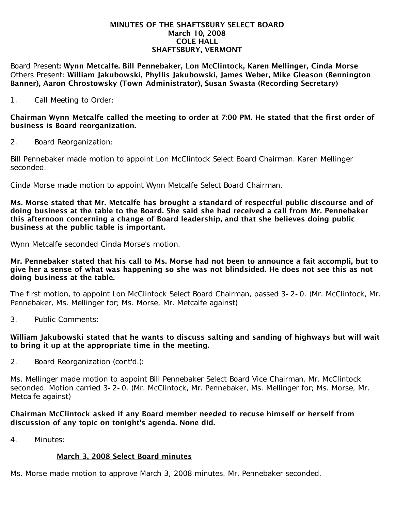## MINUTES OF THE SHAFTSBURY SELECT BOARD March 10, 2008 COLE HALL SHAFTSBURY, VERMONT

Board Present: Wynn Metcalfe. Bill Pennebaker, Lon McClintock, Karen Mellinger, Cinda Morse Others Present: William Jakubowski, Phyllis Jakubowski, James Weber, Mike Gleason (Bennington Banner), Aaron Chrostowsky (Town Administrator), Susan Swasta (Recording Secretary)

1. Call Meeting to Order:

Chairman Wynn Metcalfe called the meeting to order at 7:00 PM. He stated that the first order of business is Board reorganization.

2. Board Reorganization:

Bill Pennebaker made motion to appoint Lon McClintock Select Board Chairman. Karen Mellinger seconded.

Cinda Morse made motion to appoint Wynn Metcalfe Select Board Chairman.

Ms. Morse stated that Mr. Metcalfe has brought a standard of respectful public discourse and of doing business at the table to the Board. She said she had received a call from Mr. Pennebaker this afternoon concerning a change of Board leadership, and that she believes doing public business at the public table is important.

Wynn Metcalfe seconded Cinda Morse's motion.

Mr. Pennebaker stated that his call to Ms. Morse had not been to announce a fait accompli, but to give her a sense of what was happening so she was not blindsided. He does not see this as not doing business at the table.

The first motion, to appoint Lon McClintock Select Board Chairman, passed 3-2-0. (Mr. McClintock, Mr. Pennebaker, Ms. Mellinger for; Ms. Morse, Mr. Metcalfe against)

3. Public Comments:

## William Jakubowski stated that he wants to discuss salting and sanding of highways but will wait to bring it up at the appropriate time in the meeting.

2. Board Reorganization (cont'd.):

Ms. Mellinger made motion to appoint Bill Pennebaker Select Board Vice Chairman. Mr. McClintock seconded. Motion carried 3-2-0. (Mr. McClintock, Mr. Pennebaker, Ms. Mellinger for; Ms. Morse, Mr. Metcalfe against)

## Chairman McClintock asked if any Board member needed to recuse himself or herself from discussion of any topic on tonight's agenda. None did.

4. Minutes:

## March 3, 2008 Select Board minutes

Ms. Morse made motion to approve March 3, 2008 minutes. Mr. Pennebaker seconded.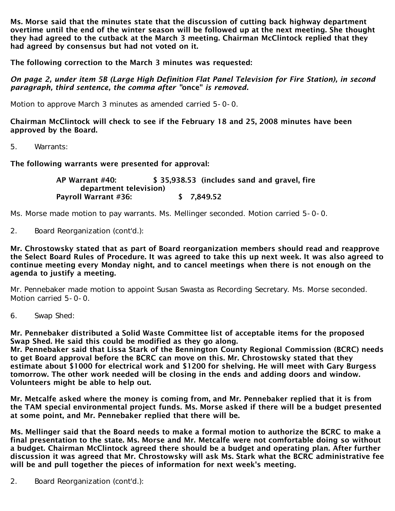Ms. Morse said that the minutes state that the discussion of cutting back highway department overtime until the end of the winter season will be followed up at the next meeting. She thought they had agreed to the cutback at the March 3 meeting. Chairman McClintock replied that they had agreed by consensus but had not voted on it.

The following correction to the March 3 minutes was requested:

*On page 2, under item 5B (Large High Definition Flat Panel Television for Fire Station), in second paragraph, third sentence, the comma after "*once" *is removed.*

Motion to approve March 3 minutes as amended carried 5-0-0.

Chairman McClintock will check to see if the February 18 and 25, 2008 minutes have been approved by the Board.

5. Warrants:

The following warrants were presented for approval:

 AP Warrant #40: \$ 35,938.53 (includes sand and gravel, fire department television) Payroll Warrant #36: \$ 7,849.52

Ms. Morse made motion to pay warrants. Ms. Mellinger seconded. Motion carried 5-0-0.

2. Board Reorganization (cont'd.):

Mr. Chrostowsky stated that as part of Board reorganization members should read and reapprove the Select Board Rules of Procedure. It was agreed to take this up next week. It was also agreed to continue meeting every Monday night, and to cancel meetings when there is not enough on the agenda to justify a meeting.

Mr. Pennebaker made motion to appoint Susan Swasta as Recording Secretary. Ms. Morse seconded. Motion carried 5-0-0.

6. Swap Shed:

Mr. Pennebaker distributed a Solid Waste Committee list of acceptable items for the proposed Swap Shed. He said this could be modified as they go along.

Mr. Pennebaker said that Lissa Stark of the Bennington County Regional Commission (BCRC) needs to get Board approval before the BCRC can move on this. Mr. Chrostowsky stated that they estimate about \$1000 for electrical work and \$1200 for shelving. He will meet with Gary Burgess tomorrow. The other work needed will be closing in the ends and adding doors and window. Volunteers might be able to help out.

Mr. Metcalfe asked where the money is coming from, and Mr. Pennebaker replied that it is from the TAM special environmental project funds. Ms. Morse asked if there will be a budget presented at some point, and Mr. Pennebaker replied that there will be.

Ms. Mellinger said that the Board needs to make a formal motion to authorize the BCRC to make a final presentation to the state. Ms. Morse and Mr. Metcalfe were not comfortable doing so without a budget. Chairman McClintock agreed there should be a budget and operating plan. After further discussion it was agreed that Mr. Chrostowsky will ask Ms. Stark what the BCRC administrative fee will be and pull together the pieces of information for next week's meeting.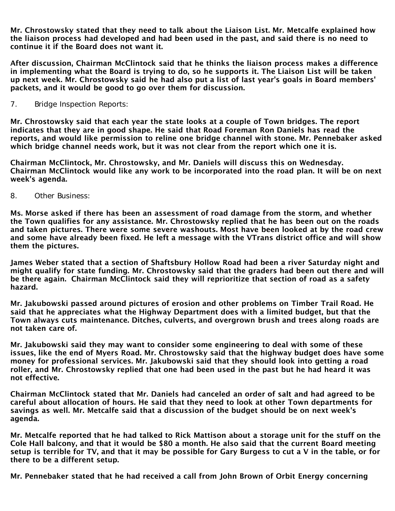Mr. Chrostowsky stated that they need to talk about the Liaison List. Mr. Metcalfe explained how the liaison process had developed and had been used in the past, and said there is no need to continue it if the Board does not want it.

After discussion, Chairman McClintock said that he thinks the liaison process makes a difference in implementing what the Board is trying to do, so he supports it. The Liaison List will be taken up next week. Mr. Chrostowsky said he had also put a list of last year's goals in Board members' packets, and it would be good to go over them for discussion.

7. Bridge Inspection Reports:

Mr. Chrostowsky said that each year the state looks at a couple of Town bridges. The report indicates that they are in good shape. He said that Road Foreman Ron Daniels has read the reports, and would like permission to reline one bridge channel with stone. Mr. Pennebaker asked which bridge channel needs work, but it was not clear from the report which one it is.

Chairman McClintock, Mr. Chrostowsky, and Mr. Daniels will discuss this on Wednesday. Chairman McClintock would like any work to be incorporated into the road plan. It will be on next week's agenda.

8. Other Business:

Ms. Morse asked if there has been an assessment of road damage from the storm, and whether the Town qualifies for any assistance. Mr. Chrostowsky replied that he has been out on the roads and taken pictures. There were some severe washouts. Most have been looked at by the road crew and some have already been fixed. He left a message with the VTrans district office and will show them the pictures.

James Weber stated that a section of Shaftsbury Hollow Road had been a river Saturday night and might qualify for state funding. Mr. Chrostowsky said that the graders had been out there and will be there again. Chairman McClintock said they will reprioritize that section of road as a safety hazard.

Mr. Jakubowski passed around pictures of erosion and other problems on Timber Trail Road. He said that he appreciates what the Highway Department does with a limited budget, but that the Town always cuts maintenance. Ditches, culverts, and overgrown brush and trees along roads are not taken care of.

Mr. Jakubowski said they may want to consider some engineering to deal with some of these issues, like the end of Myers Road. Mr. Chrostowsky said that the highway budget does have some money for professional services. Mr. Jakubowski said that they should look into getting a road roller, and Mr. Chrostowsky replied that one had been used in the past but he had heard it was not effective.

Chairman McClintock stated that Mr. Daniels had canceled an order of salt and had agreed to be careful about allocation of hours. He said that they need to look at other Town departments for savings as well. Mr. Metcalfe said that a discussion of the budget should be on next week's agenda.

Mr. Metcalfe reported that he had talked to Rick Mattison about a storage unit for the stuff on the Cole Hall balcony, and that it would be \$80 a month. He also said that the current Board meeting setup is terrible for TV, and that it may be possible for Gary Burgess to cut a V in the table, or for there to be a different setup.

Mr. Pennebaker stated that he had received a call from John Brown of Orbit Energy concerning